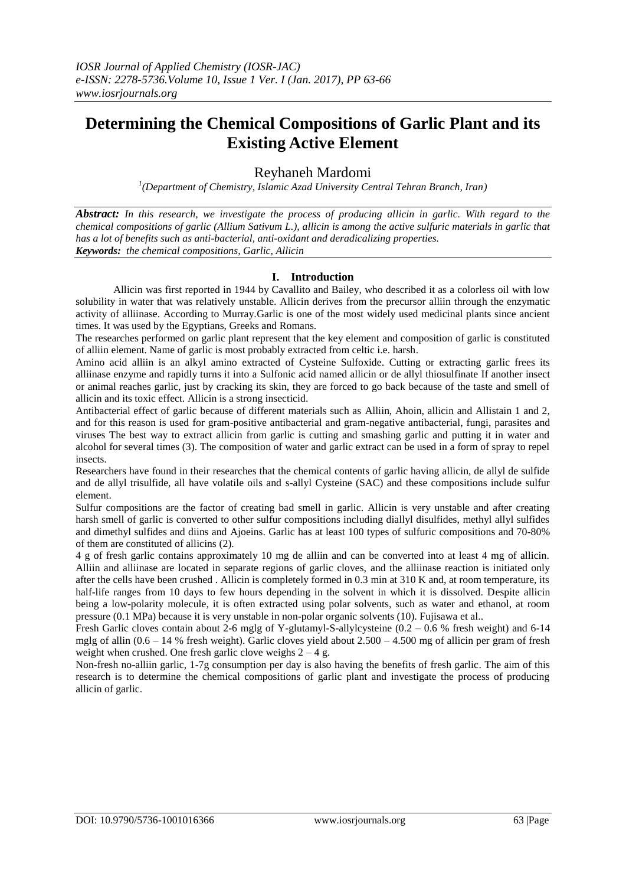# **Determining the Chemical Compositions of Garlic Plant and its Existing Active Element**

## Reyhaneh Mardomi

*1 (Department of Chemistry, Islamic Azad University Central Tehran Branch, Iran)*

*Abstract: In this research, we investigate the process of producing allicin in garlic. With regard to the chemical compositions of garlic (Allium Sativum L.), allicin is among the active sulfuric materials in garlic that has a lot of benefits such as anti-bacterial, anti-oxidant and deradicalizing properties. Keywords: the chemical compositions, Garlic, Allicin*

## **I. Introduction**

Allicin was first reported in 1944 by Cavallito and Bailey, who described it as a colorless oil with low solubility in water that was relatively unstable. Allicin derives from the precursor alliin through the enzymatic activity of alliinase. According to Murray.Garlic is one of the most widely used medicinal plants since ancient times. It was used by the Egyptians, Greeks and Romans.

The researches performed on garlic plant represent that the key element and composition of garlic is constituted of alliin element. Name of garlic is most probably extracted from celtic i.e. harsh.

Amino acid alliin is an alkyl amino extracted of Cysteine Sulfoxide. Cutting or extracting garlic frees its alliinase enzyme and rapidly turns it into a Sulfonic acid named allicin or de allyl thiosulfinate If another insect or animal reaches garlic, just by cracking its skin, they are forced to go back because of the taste and smell of allicin and its toxic effect. Allicin is a strong insecticid.

Antibacterial effect of garlic because of different materials such as Alliin, Ahoin, allicin and Allistain 1 and 2, and for this reason is used for gram-positive antibacterial and gram-negative antibacterial, fungi, parasites and viruses The best way to extract allicin from garlic is cutting and smashing garlic and putting it in water and alcohol for several times (3). The composition of water and garlic extract can be used in a form of spray to repel insects.

Researchers have found in their researches that the chemical contents of garlic having allicin, de allyl de sulfide and de allyl trisulfide, all have volatile oils and s-allyl Cysteine (SAC) and these compositions include sulfur element.

Sulfur compositions are the factor of creating bad smell in garlic. Allicin is very unstable and after creating harsh smell of garlic is converted to other sulfur compositions including diallyl disulfides, methyl allyl sulfides and dimethyl sulfides and diins and Ajoeins. Garlic has at least 100 types of sulfuric compositions and 70-80% of them are constituted of allicins (2).

4 g of fresh garlic contains approximately 10 mg de alliin and can be converted into at least 4 mg of allicin. Alliin and alliinase are located in separate regions of garlic cloves, and the alliinase reaction is initiated only after the cells have been crushed . Allicin is completely formed in 0.3 min at 310 K and, at room temperature, its half-life ranges from 10 days to few hours depending in the solvent in which it is dissolved. Despite allicin being a low-polarity molecule, it is often extracted using polar solvents, such as water and ethanol, at room pressure (0.1 MPa) because it is very unstable in non-polar organic solvents (10). Fujisawa et al..

Fresh Garlic cloves contain about 2-6 mglg of Y-glutamyl-S-allylcysteine (0.2 – 0.6 % fresh weight) and 6-14 mglg of allin  $(0.6 - 14 \%$  fresh weight). Garlic cloves yield about  $2.500 - 4.500$  mg of allicin per gram of fresh weight when crushed. One fresh garlic clove weighs  $2 - 4$  g.

Non-fresh no-alliin garlic, 1-7g consumption per day is also having the benefits of fresh garlic. The aim of this research is to determine the chemical compositions of garlic plant and investigate the process of producing allicin of garlic.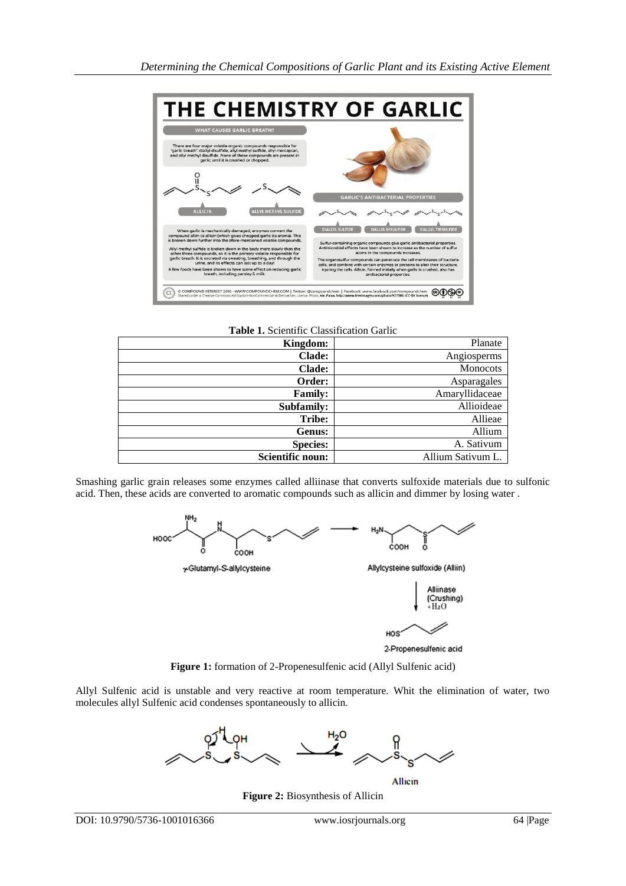

**Table 1.** Scientific Classification Garlic

| Kingdom:         | Planate           |
|------------------|-------------------|
| <b>Clade:</b>    | Angiosperms       |
| <b>Clade:</b>    | <b>Monocots</b>   |
| Order:           | Asparagales       |
| <b>Family:</b>   | Amaryllidaceae    |
| Subfamily:       | Allioideae        |
| Tribe:           | Allieae           |
| Genus:           | Allium            |
| <b>Species:</b>  | A. Sativum        |
| Scientific noun: | Allium Sativum L. |

Smashing garlic grain releases some enzymes called alliinase that converts sulfoxide materials due to sulfonic acid. Then, these acids are converted to aromatic compounds such as allicin and dimmer by losing water .





2-Propenesulfenic acid

HOS

**Figure 1:** formation of 2-Propenesulfenic acid (Allyl Sulfenic acid)

Allyl Sulfenic acid is unstable and very reactive at room temperature. Whit the elimination of water, two molecules allyl Sulfenic acid condenses spontaneously to allicin.



**Allicin** 

**Figure 2:** Biosynthesis of Allicin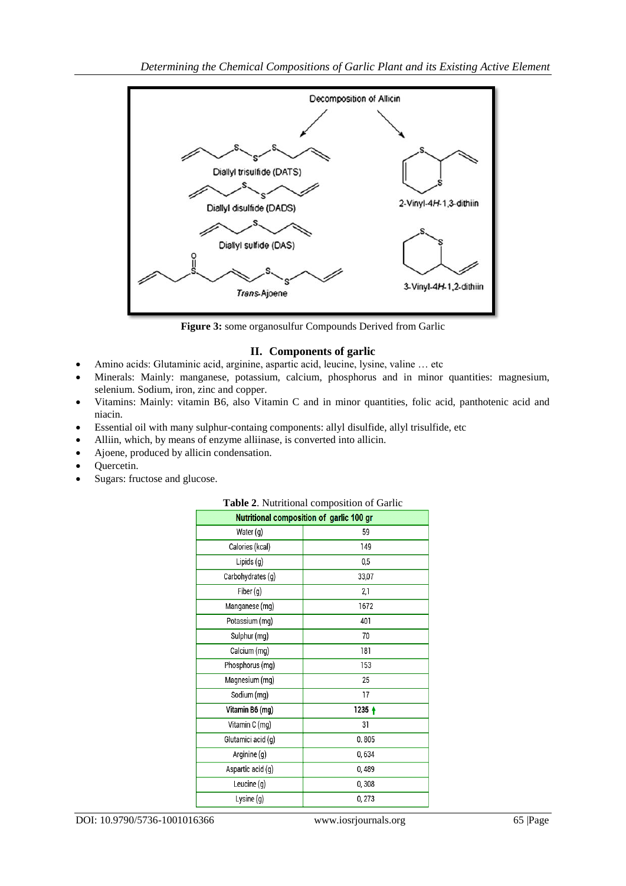

**Figure 3:** some organosulfur Compounds Derived from Garlic

## **II. Components of garlic**

- Amino acids: Glutaminic acid, arginine, aspartic acid, leucine, lysine, valine … etc
- Minerals: Mainly: manganese, potassium, calcium, phosphorus and in minor quantities: magnesium, selenium. Sodium, iron, zinc and copper.
- Vitamins: Mainly: vitamin B6, also Vitamin C and in minor quantities, folic acid, panthotenic acid and niacin.
- Essential oil with many sulphur-containg components: allyl disulfide, allyl trisulfide, etc
- Alliin, which, by means of enzyme alliinase, is converted into allicin.
- Ajoene, produced by allicin condensation.
- Quercetin.
- Sugars: fructose and glucose.

| <b>Table 2.</b> Nutritional composition of Garlic<br>Nutritional composition of garlic 100 gr |          |
|-----------------------------------------------------------------------------------------------|----------|
|                                                                                               |          |
| Water (g)                                                                                     | 59       |
| Calories (kcal)                                                                               | 149      |
| Lipids (g)                                                                                    | 0,5      |
| Carbohydrates (g)                                                                             | 33,07    |
| Fiber (g)                                                                                     | 2,1      |
| Manganese (mg)                                                                                | 1672     |
| Potassium (mg)                                                                                | 401      |
| Sulphur (mg)                                                                                  | 70       |
| Calcium (mg)                                                                                  | 181      |
| Phosphorus (mg)                                                                               | 153      |
| Magnesium (mg)                                                                                | 25       |
| Sodium (mg)                                                                                   | 17       |
| Vitamin B6 (mg)                                                                               | $1235 +$ |
| Vitamin C (mg)                                                                                | 31       |
| Glutamici acid (g)                                                                            | 0.805    |
| Arginine (g)                                                                                  | 0,634    |
| Aspartic acid (g)                                                                             | 0,489    |
| Leucine (g)                                                                                   | 0,308    |
| Lysine (g)                                                                                    | 0,273    |

### **Table 2**. Nutritional composition of Garlic